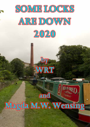

by

WRT

# Magda M.W. Wensing

and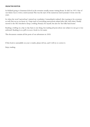### **From the editor**

In Holland going to Grammar School in the seventies usually meant visiting Rome. So did I in 1973. One of our duties was to write a travel journal. This was the start of the numerous travel journals I wrote over the years.

So when the word 'narrowboat' entered my vocabulary I immediately realised: this is going to be a journey as well (but not as we know it). I kept track of everything narrowboat-related after that. And when I finally moved to the UK I decided to keep a weblog. Primary for myself, but also for 'the folks back home'.

Reading a weblog on a day-to-day basis is one thing, but reading all posts about one subject in one go is very awkward. Reading it as a pdf or as an e-book is a lot easier.

This document contains all the posts of our adventures in 2020.

If this book is unreadable on your e-reader, please tell me, and I will try to correct it.

Enjoy reading.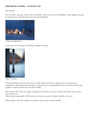# **Requiem for a jumper – 15 January 2020**

### Dear Jumper,

Just over thirty years ago, on the 27th of December 1989, you were born in Heddal, a small village in Norway. In a house about 100 yards away from the famous Stavkirke.



*100 yards from Heddal Stavkirke*

It was cold, even at daytime, but luckily it stopped snowing.



*Minus 19ºC at daytime*

I had just decided to get divorced, and my whole world was about to change. But you would be my companion in all the good and bad times to come. You even accompanied me when I moved to the UK. And together we spent many hours at the tiller of WRT.

But sometime last winter you began to fall apart. You started to become (w)holy. And I knew I had to face a time without you.

Which seemed impossible. I still loved you. So there was only one thing I could do: clone you.

Before going to the UK I scanned your pattern, and the yarn was still available.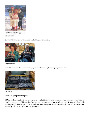

*Lusekofte\* pattern*

So 30 years, between two jumpers (and the maker, of course).



*Jumper in the make*

And if the picture above is not enough proof of there being two jumpers, this will do.



*Two lusekofte*

Dear 1989 jumper, rest in peace...

PS Your replacement is still way too warm to wear inside the boat (as you were, when you were young), but it won't be long before I'll be on the tiller again, in wind and rain...\**The lusekofte (Norwegian for lice jacket), also called the Setesdalsgenser (Setesdal sweater) is a traditional Norwegian sweater, dating from the 19th century. The original sweater features a black and white design, the name referring to the isolated white stitches.*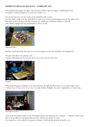# **Rocked to sleep again and again – 16 February 2020**

And polished brass again and again. And cleaned windows again and again. Something like that. An update of all that happened over the last month or so.

First of all I still owe you the results of the oliebollen bake contest.

No, they didn't really look like oliebollen. Yes, they were round, and had approximately the right colour. But when fried in oil they look like amoebes. My muffin pan oliebollen looked too smooth... And I didn't manage find any poedersuiker in Tesco or Aldi.



*Muffin Pan Oliebollen*

But they tasted absolutely heavenly. As soon as our guests arrived the oliebollen just disappeared...

We spent New Year's Eve playing cards.

A game called Shithead, but because shit is not a nice word we call it Poo.



*Playing Poo*

With Chris having her birthday on the 4th of January the girls decided to go out on a girly night to precelebrate that. In the end six of us went to nearby Nellie's. Walkable, but not on high heels, as I found out...



*Girl's Night Out at Nellie's*

And except for saying cheerio to my Norwegian jumper (see Requiem for a jumper – 15 January 2020) I also had to say goodbye to something that has been with me for at least 45 years.

The General, as it was called by my parents. Because it did look like General de Gaulle to us.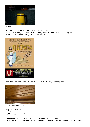

*The General*

Living on a boat is hard work. But there also is time to relax.

For example by going to an adult panto. Something completely different from a normal panto, but it had us in tears (although I probably only got half the innuendoes...).



I've polished our Warp Drive. Or is it our WIFI? Our new Washing Line setup maybe?



*Warp Drive? WIFI? Washing Line setup?*

Warp Drive? We wish. Wifi? We wish. Washing line set-up? I wish not.

But unfortunately it is. Because I bought a new washing machine. A proper one. The twin tub I got for my birthday, in 2018, worked OK, but turned out to be a washing machine for right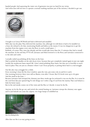handed people. And squeezing the water out of garments was just too hard for my wrists. And when Ann told me how to operate a normal washing machine just of the inverter, I decided to get one.



I bought it at Currys/PCWorld and had it delivered and installed.

Well, that was the plan. They delivered the machine, but, although we told them it had to be installed on a boat, the refused to do that, mentioning Health and Safety as the reason. It was too dangerous to get the machine from the engine cover onto the floor, in such a small space...!

Rubbish, of course. They were late already, and this would take more than the 15 minutes they had to install the machine. In the end they f\*\*\*d off, Lawrance and Mick lowered it to the floor, and Lawrance connected it to the inlet and outlet.

I actually ended up polishing all the brass on the boat.

Had to polish the handles on the side doors twice, because they got completely stained again in just one night. Luckily the mushroom bases stayed OK. I don't mind polishing these bases, but they are so horrible to screw back in place. They are just at a distance where I can't focus properly, so putting them back is a real struggle.

Our fire also was a struggle for a while.

Every morning I clean the fire door window, open the vent, put some cola on and let it catch.

One morning however, there were still no flames, even after 3 hours. But CO-levels were up to 46 ppm. And the smell in the boat...!

Because Lawrance had sweeped the chimney just three weeks ago he reckoned it was not the flue. So it must be the coal from this just opened bag. To rule things out I order a bag of coal from the marina. That coal behaves a little bit better (just).

But in the end smoke comes out of the vents and the flue so I decide: it must be the flu.

Anyway, we let the fire go out, and switch the central heating on. Lawrance sweeps the chimney once again and lo and behold out come the culprits: two huge lumps of solidified tar.



*One of two, blocking the flue*

After that our fire is as easy going as ever...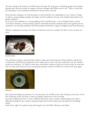Of course, being in the marina, it's still the same old, same old: yoga, gym, swimming, going out for supper, playing cards. And new recipes for supper. As former colleague Alan Wilson used to say: "There is a first time for everything" I serve Jerusalem Artichokes for the first time in my life.

Roots that have nothing to do with Jerusalem or with artichokes, but, depending on your country of origin it's either a wrong spelling of *girasole*, the Italian word for sunflower, because of its familial relationship to the garden sunflower.

Or, if you're from Holland, it's a wrong spelling of the word Terneuzen, a city in Holland where, around 1610, Petrus Hondius, a Dutch botanist, planted a shrivelled Jerusalem artichoke tuber in his garden and was surprised to see the plant proliferate. The first Jerusalem Artichokes to appear in England came from Terneuzen.

Whatever explanation you fancy, the tubers are delicious, and easy to prepare. Try them, if you see them in a shop.



*Jerusalem Artichokes*

Oh, and before I forget, I cleaned all the windows inside and outside. Because of the problems with the fire a whole layer of dirt had been deposited on the inside. And as soon as the sun would come out, the windows would turn solid grey... So I HAD to clean them. And did the outside as well. Just to find out that we must have had very dirty rain, because the next morning the portside windows of WRT are covered in dirt spots again.



*High presure*

Did we have the highest air pressure I've ever seen since I'm on WRT on the 19th of January, (very dry), on the 9th of February storm Ciara hits us. Starts on Sunday, ended more or less on Friday.

For 6 days walking from bow to stern is difficult (hand rails come to mind), understanding each other is difficult (ear plugs for the constant roaring howling wind around mushrooms and topboxes?) but falling asleep?

Great! Every night I'm rocked to sleep, Knowing for sure that WRT will keep us safe afloat.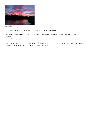

*Dennis on his way*

At the moment we're just at the end of storm Dennis. Strong, but short-lived.

Hopefully Dennis did not cause a lot of trouble on the railways, because tomorrow me and Ann are off to London. Yes! Again! Why not?!

This time we travel by train, and are away for four days. To see Cirque du Soleil in the Royal Albert Hall, to visit museums and galleries, and to eat at more famous restaurants.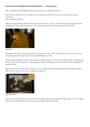## **Planning and preparation for cruising – 13 March 2020**

And everything else that happened between my last post in February and now.

First of all me and Ann went to London to see Cirque du Soleil, visit various museums and eat at posh restaurants.

And see millions of kids...

Did the National History Museum. That was a waste of time; it took us 40 minutes to go through this entire kindergarten. And to take this picture of an Archaeopteryx fossil I had to push away about 50 kids.



*Archaeopteryx*

We skipped the Science Museum, because of the queue of about 100 yards that was at the entrance, and we basically expected the museum to be a huge kindergarten as well.

Did the National Gallery and the National Portrait Gallery. Both were OK, but the Portrait Gallery will close for about 2 years, to be turned into... a kindergarten (staff was asking parents with kids how they would like the museum to be).

Spent most time in the V&A. That was great. Loved it. Especially discovering this painting of Singraven Water Mill, because I used to live about 10 minutes south of it.



*Singraven Water Mill*

We also went on a boat trip to Greenwich. That was like being on the North Sea: huge waves, and a very high tide. We were probably the last ones to get a boat back to Westminster Pier.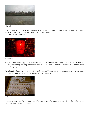

*Choppy ride*

In Greenwich we decided to have a quick glance at the Maritime Museum, with the idea to come back another time. Did the whole of this kindergarten in about half an hour...! And no, we won't come back.



*Cirque du Soleil*

Cirque du Soleil was disappointing. Everybody complained about there not being a kind of story line. And all 'stunts' went on way too long, as to stretch them to fill the 2 hour show. What I once saw on TV, and what Ann saw in Glasgow, was much better.

Back from London preparations for cruising really started. All cabin lace had to be washed, starched and ironed (no, not ALL, I managed to forget the ones inside one cupboard).



*Cabin Lace*

I went to an opera, for the first time in my life. Madame Butterfly, with a pre-theatre dinner for the four of us, and me and Ann staying for the opera.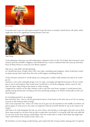

*My First Opera*

It was also time to get our wall carpets cleaned. To get that done we actually cruised! About 100 yards, which might turn out to be a significant cruising distance, this year!



*Carpet Cleaning*

Cruise planning at that time was still rudimentary. I planned to leave on the 7th of April, after Lawrance's army reunion (and me and WRT's obligatory Girls Weekend Out). Cruise to Anderton Boat Lift, meat up with Anne from nb Pratty Flower to cruise the river Weaver together.

That was it. I just didn't feel like planning.

So I should have know. Usually, when I feel I can't plan, something major happens, which would have ruined my plans anyway, had I made them. But who could imagine something that big.

At first Lawrance assumed we would still go out cruising. But I couldn't really estimate the risks if we would go out.

Lawrance is one of the vulnerable people: over 70, male, overweight and high blood pressure. He just would have to stay in self-isolation. That would mean I would have to do all the shopping, cassette, water etc. But that's the same, either being in the marina or while cruising.

I supposed he could be on the tiller, without a risk to catch the virus from a stranger. It would prevent him getting roaring mad because of sitting in the boat and having nothing to do. Which would make my life a lot more pleasant...

So everything pointed to: go cruising.

But I had three 'buts'. One is: will the government look at a boat=home in the same way as us? Are we staying at home in self-isolation while cruising?

And a more important 'but': what to do when one of us gets very ill somewhere in the middle of nowhere. No phone signal, no road access to the canal, not registered with the local GP? Should we stay in the marina a bit longer?

And what to do with shopping? One day we went to Tesco, and, besides no toilet paper, there also was no flour (how many people do you know that are able to make their own bread?), no long life milk (the only milk that we can store on the boat, having a small fridge). How far would I have to walk to find shops that might have what I need? When in the marina at least I have a car...

We decided to see how things would develop, and I started the first of long overdue cleaning jobs. It surprised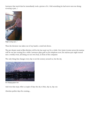Lawrance that much that he immediately took a picture of it. I did something he had never seen me doing: scouring a pan...!



*Magda scouring a pan...?*

Then the decision was taken out of my hands: a total lock down.

The pre-theatre meal at Bliss Kitchen will be the last meal out for a while. Our (mini-)cruise across the marina will be our last cruising for a while. Lawrance plays golf on his telephone now, the marina quiz night turned into a weekly event, all sitting on our own boat, in front of the computer.

The only thing that changes every day is not the scenery around us, but the sky.



*Ever changing gorgeous skies*

And even that stops. After a couple of days the sky is blue, day in, day out.

Absolute perfect days for cruising...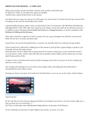# **Perfect day for cruising – 27 April 2020**

Today, and yesterday, and the day before. And last week, and the week before that. No gale force winds, no torrential rain, plenty of sunshine. A perfect day to spend locked down, in the marina.

Just before the sun comes up, I get up. It's awful quiet, not only because it's around 5am but also because there is nothing on the road. The only thing I hear is birds.

I spend breakfast doing an online course, one that doesn't ask a lot of attention, like *The History of the Book in the Early Modern Period: 1450 to 1800*. After that I spend an hour doing a course that needs all my attention, because it is a difficult course, like *Farm to Fork: Sustainable Food Production in a Changing Environment*, or involves meditation, like *Mindfulness for Wellbeing and Peak Performance*.

Then, after a break for a cigarette it's time to jump in the car to get newspapers for Lawrance, and Ann and Mick. The fire has to be done, and kefir made.

Around 9am I do my first household chore, a 'normal' one. And after that I do a task that is long overdue.

Lunch around noon, followed by walking part of the marina to pick up litter. A great change to speak to a lot of people. And my first daily exercise.

Somewhat later I borrow Mick's bike to spend around 45 minutes cycling more or less around the marina. I try to do about 6 miles, which is hard. The bike has an absolute torture saddle and the marina has too many speed bumps and pot holes.

At 4pm it's time to download and read my Dutch newspaper, and when it's my turn to do the cooking, that task has to start at 5pm.

The evening is for knitting (I'm on my first corona-jumper still), and reading all extra information I downloaded from the online courses.

Evenings are always very quiet, and usually have beautiful skies, as you can see on this video, made by Karen.



*Tranquil Evening Mood*

By the way, did you hear someone playing melodeon in the distance (you have to turn the volume right up, to hear me above the very loud birds...)?

Yes? Then it is Thursday, when *The Rusty Boater's Band* performs on the patio of the Tearoom.

Or if it's Saturday, because then it's Quiz Night in the marina, on Zoom, of course.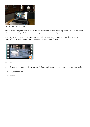

Weekly Quiz Night on Zoom

Oh, of course being a member of one of the best bands in the marina (not to say the only band in the marina) also means practising melodeon and concertina, sometime during the day.

And I just have to watch our resident swan. He just keeps doing it, hour after hour after hour. See this wonderful video made by Kurt (also a member of The Rusty Boater's Band).



*Life is hard for some*

Around 9pm it's time to do the fire again, and chill out, reading one of the old books I have on my e-reader.

And at 10pm I'm in bed.

A day well spent...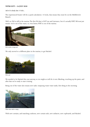# **We're out! – 24 July 2020**

*And we've already done 14 locks...*

The experienced boater will do a quick calculation: 14 locks, that means they must be on the Middlewich Branch.

Well, no. We're still in the marina. The first *We* that is NOT me and Lawrance, but it's actually WRT. *We're out* just means: we're out of the water, or, even better, WRT is out of the marina.



*Did we take a wrong turn?*

We only moved to a different place in the marina, to get blacked.



*We're out!*

We needed to be blacked this year anyway, so we might as well do it now. Blacking, touching up the paint, and after that we're ready to start cruising.

Being out of the water also means new tasks: emptying waste water tanks, first thing in the morning.



*Waste water tanks to empty...*

With new curtains, and matching cushions, new curtain rails, new radiators, new cupboards, and blacked.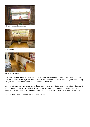

*Old and new curtains, and new curtain rails*



*Matching cushions*



*New cupboards and radiators*

And what about the 14 locks, I hear you think? Well, Kurt, one of our neighbours in the marina, had to go to Tarleton to get his boat overplated. Since he is on his own, me and Ann helped him through locks and swing bridges. Seven locks up to Tarleton, seven locks back to the marina.

Anyway, although the weather one days is almost too hot to do any painting, and we get drizzly rain some of the other days, we manage to get blacked, and even do one tunnel band. In fact, everything goes so fast, I don't even get a change to take a picture of the pristine black bottom of WRT before we get back into the water.

At 9 am Daniel starts putting the trailer back under WRT.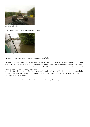

*Almost back on the trailer*

And 25 minutes later we're touching water again.



*Almost back in the water*

Back in the water, and, very important, back to our usual tilt.

When WRT was on the railway sleepers, the bow was is lower than the stern. And with the heavy rain on our second day out, water accumulated at the front of the cabin, where there is NO run off. So after a couple of hours I discovered about an inch of water inside our fire. Only remedy: make a hole in the sealant of the cratch cover, in case we would get more heavy rain.

And when I tried to open my side of the wardrobe, I found out I couldn't. The floor in front of the wardrobe slightly bulged out, just enough to prevent the door from opening. So now, back at our usual place, I can finally get a change of clothes...

And now, with most of the tasks done, it's time to start thinking of cruising.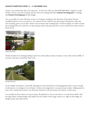# **Season's Greetings (part 1) – 21 December 2020**

I know, I just noticed the date of my last post... So this one will cover SIX MONTHS! Well, I suppose I could divide it in two: our time cruising, and our time not cruising. Therefore **Season's Greetings part 1** (*cruising*) and **Season's Greetings part 2** (*not cruising*).

Yes, we actually do cruise. We leave on the 1st of August, heading in the direction of Liverpool. But the Leeds&Liverpool is not as we know it. It is reduced to the width of one narrowboat. This picture, taken the next morning, gives you an idea. I had to turn around at this winding hole. Could not figure out where exactly the winding hole was, turned in too late and got stuck in the greenery. Try to turn a narrowboat when stuck in thick weeds...



*Narrow Broad Canal*

Turned around we're starting heading south. For corona safety reasons we plan to moor only in the middle of nowhere. Like here, just before Dean Lock.



*Just before Dean Lock*

In the middle of nowhere, I said. Well, although it's only friend Chris of nb Basingstoke that's on the towpath in this picture, on average it is a lot busier. I reckon on average there is one person per minute walking past the boat, every minute from about 7 am till 8 pm. And that's with the nearest town about 5 miles away...

It is actually less busy when we stop in Lymm. We planned to, but we also have to. A truck driver didn't obey the signs about a hump bridge, and 'parked' his low loader, with a huge crane on it, right on the bridge. So bridge closed, and canal closed.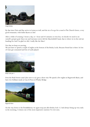

*Going Nowhere*

By that time Chris and Ray arrive in Lymm as well, and the six of us go for a meal to The Church Green, a very good restaurant, with Aiden Byrne as chef.

After a while of cruising 2 hours a day, or 1 hour and 45 minutes or even less, we decide we need to set ourself a proper goal. Since me and Lawrance never did the Macclesfield Canal, that is where we in the end are heading for. And I'm glad we did, I really like the Macc!

Not that we keep on moving...

We just have to spend a couple of nights at the bottom of the Bosley Locks. Because friend Ian is there. So lots of wine get consumed and lots of cards played.



*Bosley Locks part 1*

Even the Peak Forrest canal (also new to us) gets a short visit. We spend a few nights in Bugsworth Basin, and have two brilliant meals at Casa di Pizza in Whaley Bridge.



*Bugsworth Basin*

On the way down to the Trent&Mersey we again stop just after Bosley lock 12. And always being up very early in the morning, I witness one of the most impressive sunrises I've ever seen.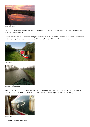

*Bosley Locks part 2*

Back on the Trent&Mersey Ann and Mick are heading south towards Great Haywood, and we're heading north towards the river Weaver.

We use our new washing machine (and part of the towpath) for doing the laundry. We've moored here before, but under very different circumstances, as this picture from the 4th of April 2018 shows...!



*Washing Day*



*Same place – Different Weather*

On the river Weaver our first stop is at the new pontoons in Northwich. Not that there is space to moor, but we just breast up against another boat. Which happened to Swansong (*and of course we knew that*...).



*Familiar Sight*

As Ian mentions on his weblog: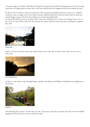"If stories begin to circulate of drunken Northwich boat parties and revellers returning home in the wee small hours then we might guess at where they could have started and how exaggerated they have already become."

By then Covid-19 starts to worry me a little bit. Cases are going up rapidly, and I have visions of a complete lockdown, and us caught on the river Weaver because Anderton Boat Lift would be closed. And/or stuck just outside Wigan, because all the locks in Wigan are closed (and padlocked).

So I book the lift for as soon as possible. And on the most windy day of our time out cruising I have to try to get 18 ton of steel off the wall at the lift and into the caisson while the hurricane force wind pins me against that wall.



*Heading Home*

And it is obvious: the rainy season has started. About every other day we have to stay where we are, due to heavy rain.



*Start of the Rainy Season*

Luckily it is dry when we go through Wigan, together with Bernie and William of Spindrift and neighbours in the marina.



*Neighbours*

The following day is again a 'sit-the-rain-out' day. It just rains, and rains, and rains. Just look at the tree behind Spindrift and the same tree some 40 odd hours later.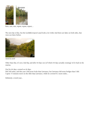

Rain, rain, rain, repeat, repeat, repeat,...

The next day is fine, but the Leeds&Liverpool canal looks a lot wider. And there are lakes on both sides, that were not there before.



*Autumn has started?*

Other than that, it's not a bad day, and after 64 days out (of which 44 days actually cruising) we're back in the marina.

Out for 64 days, cruised on 44 days.

Did 260 miles, and this year I did more locks than Lawrance, but Lawrance did more bridges than I did. I spent 15 minutes more on the tiller than Lawrance, while he covered 0.2 more miles...

Definitely a weird year...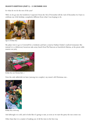### **Season's Greetings (part 2) – 22 December 2020**

So what do we do the rest of the year?

Well, we do go into the lockdown I expected. From the 5th of November till the 2nd of December. So I have to celebrate my 65th birthday completely different from what I was hoping to do.



*Signs of a Birthday Party*

My plans were to go to Cornwall for a weekend, and have a meal at Nathan Outlaw's seafood restaurant. But instead it is a (delicious) luxurious take-away lunch from The Tearoom at Scarisbrick Marina, at the picnic table nearest our jetty.



*Birthday Party (not Christmas Meal...)*

Note the only tablecloth we have (among two couples): my mum's old Christmas one...



*Birthday Party in full swing*

And although it is cold, and it looks like it's going to rain, as soon as we start the party the sun comes out.

Other than that it is a matter of making use of all the time in the best way.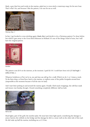Mark, a guy that lives and works in the marina, asked me to cross stitch a waterways map, for his new boat. That's what I do, and because I like the pattern, I do one for me as well.



*Waterways Map x 2*

In fact, I get hooked to cross stitching again (*thanks, Marc*) and decide to do a Christmas pattern I've done before but which I gave away to the Cross Stitch Museum in Holland. It's one of the things I kind of miss, but I still have the original pattern.



*Sintirklass*

The pattern costs \$10 on the internet, at the moment. I paid \$3.50. I could have been rich (*if I had bought 1 million of them..*).

Whatever lockdown or Tier we're in, me and Ann can still go for a walk. Which we do 2 or 3 times a week. To the farm shop, or from Tesco back to the marina, or explore some of the public footpaths around here (impossible at the moment because of all the rain we had).

And I start litter picking in and around the marina again. Usually I find snack wrappings, the odd face mask and tissues. Last Sunday, though, I found something completely different: half an Audi.



*Half an Audi*

Head lights, part of the grill, the number plate. He must have done light speed, considering the damage to armco barrier, the rubbish on the bridge and the damage he did to a stone wall on the other side of the road. He did wake up half the marina, including me, at 3:57am.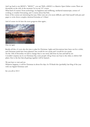And I go back to my MOOC's. "MOOC?", you say? Well, a MOOC is a Massive Open Online course. There are thousands on the web. At the moment I'm on my  $55<sup>th</sup>$  course.

What kind of courses? From archeology, via happiness and wellbeing, mediaeval manuscripts, science of cooking, to weather forecasting, and 3 courses about Star Trek.

Some of the courses are interesting but easy. Other ones are a lot more difficult, and I find myself with pen and paper to write down complex chemical formulas at 5:30am!

And of course we do have the most gorgeous skies again...



*What a sky (again)*

Besides all this, it's now also the time to plan for Christmas. Lights and decorations have been out for a while, and Christmas meals have been planned. Ann would do two meals and I would do two meals. On the 19th of December we had to change that to one meal, half done by Ann and half by me. I wouldn't surprise me if, on Christmas Day, some people will go from one boat to the other, to deliver full plates. Due to the fact that all getting together will be banned...

We just have to wait and see.

Whatever happens, it will be Christmas in about five days. So I'll finish this (probably) last blog of the year with our digital Christmas card.

See you all in 2021!